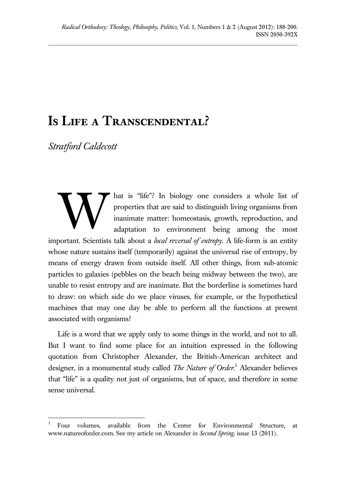# **Is Life a Transcendental?**

*Stratford Caldecott*

 $\overline{a}$ 

hat is "life"? In biology one considers a whole list of properties that are said to distinguish living organisms from inanimate matter: homeostasis, growth, reproduction, and adaptation to environment being among the most important. Scientists talk about a *local reversal of entropy*. A life-form is an entity whose nature sustains itself (temporarily) against the universal rise of entropy, by means of energy drawn from outside itself. All other things, from sub-atomic particles to galaxies (pebbles on the beach being midway between the two), are unable to resist entropy and are inanimate. But the borderline is sometimes hard to draw: on which side do we place viruses, for example, or the hypothetical machines that may one day be able to perform all the functions at present associated with organisms? W

Life is a word that we apply only to some things in the world, and not to all. But I want to find some place for an intuition expressed in the following quotation from Christopher Alexander, the British-American architect and designer, in a monumental study called *The Nature of Order*. <sup>1</sup> Alexander believes that "life" is a quality not just of organisms, but of space, and therefore in some sense universal.

<sup>1</sup> Four volumes, available from the Center for Environmental Structure, at www.natureoforder.com. See my article on Alexander in *Second Spring*, issue 13 (2011)*.*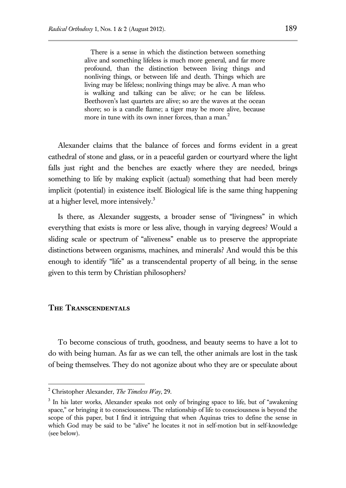There is a sense in which the distinction between something alive and something lifeless is much more general, and far more profound, than the distinction between living things and nonliving things, or between life and death. Things which are living may be lifeless; nonliving things may be alive. A man who is walking and talking can be alive; or he can be lifeless. Beethoven's last quartets are alive; so are the waves at the ocean shore; so is a candle flame; a tiger may be more alive, because more in tune with its own inner forces, than a man.<sup>2</sup>

Alexander claims that the balance of forces and forms evident in a great cathedral of stone and glass, or in a peaceful garden or courtyard where the light falls just right and the benches are exactly where they are needed, brings something to life by making explicit (actual) something that had been merely implicit (potential) in existence itself. Biological life is the same thing happening at a higher level, more intensively.<sup>3</sup>

Is there, as Alexander suggests, a broader sense of "livingness" in which everything that exists is more or less alive, though in varying degrees? Would a sliding scale or spectrum of "aliveness" enable us to preserve the appropriate distinctions between organisms, machines, and minerals? And would this be this enough to identify "life" as a transcendental property of all being, in the sense given to this term by Christian philosophers?

#### **The Transcendentals**

 $\overline{a}$ 

To become conscious of truth, goodness, and beauty seems to have a lot to do with being human. As far as we can tell, the other animals are lost in the task of being themselves. They do not agonize about who they are or speculate about

<sup>2</sup> Christopher Alexander, *The Timeless Way*, 29.

<sup>&</sup>lt;sup>3</sup> In his later works, Alexander speaks not only of bringing space to life, but of "awakening" space," or bringing it to consciousness. The relationship of life to consciousness is beyond the scope of this paper, but I find it intriguing that when Aquinas tries to define the sense in which God may be said to be "alive" he locates it not in self-motion but in self-knowledge (see below).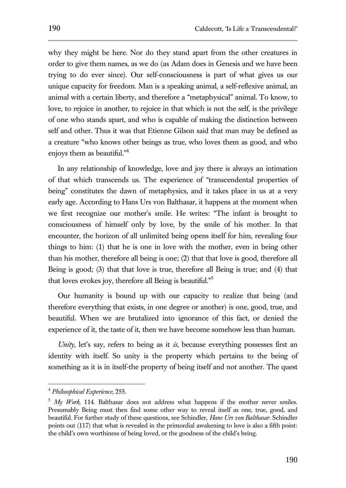why they might be here. Nor do they stand apart from the other creatures in order to give them names, as we do (as Adam does in Genesis and we have been trying to do ever since). Our self-consciousness is part of what gives us our unique capacity for freedom. Man is a speaking animal, a self-reflexive animal, an animal with a certain liberty, and therefore a "metaphysical" animal. To know, to love, to rejoice in another, to rejoice in that which is not the self, is the privilege of one who stands apart, and who is capable of making the distinction between self and other. Thus it was that Etienne Gilson said that man may be defined as a creature "who knows other beings as true, who loves them as good, and who enjoys them as beautiful."<sup>4</sup>

In any relationship of knowledge, love and joy there is always an intimation of that which transcends us. The experience of "transcendental properties of being" constitutes the dawn of metaphysics, and it takes place in us at a very early age. According to Hans Urs von Balthasar, it happens at the moment when we first recognize our mother's smile. He writes: "The infant is brought to consciousness of himself only by love, by the smile of his mother. In that encounter, the horizon of all unlimited being opens itself for him, revealing four things to him: (1) that he is one in love with the mother, even in being other than his mother, therefore all being is one; (2) that that love is good, therefore all Being is good; (3) that that love is true, therefore all Being is true; and (4) that that loves evokes joy, therefore all Being is beautiful."<sup>5</sup>

Our humanity is bound up with our capacity to realize that being (and therefore everything that exists, in one degree or another) is one, good, true, and beautiful. When we are brutalized into ignorance of this fact, or denied the experience of it, the taste of it, then we have become somehow less than human.

*Unity*, let's say, refers to being as it *is*, because everything possesses first an identity with itself. So unity is the property which pertains to the being of something as it is in itself-the property of being itself and not another. The quest

<sup>4</sup> *Philosophical Experience,* 255.

<sup>5</sup> *My Work,* 114. Balthasar does not address what happens if the mother never smiles. Presumably Being must then find some other way to reveal itself as one, true, good, and beautiful. For further study of these questions, see Schindler, *Hans Urs von Balthasar*. Schindler points out (117) that what is revealed in the primordial awakening to love is also a fifth point: the child's own worthiness of being loved, or the goodness of the child's being.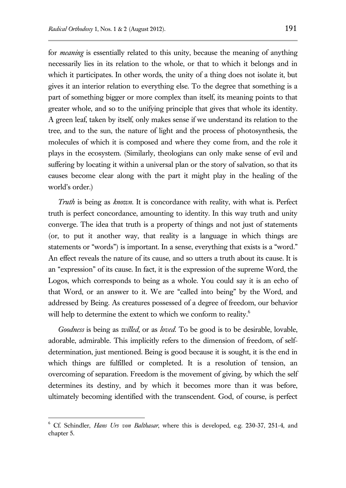for *meaning* is essentially related to this unity, because the meaning of anything necessarily lies in its relation to the whole, or that to which it belongs and in which it participates. In other words, the unity of a thing does not isolate it, but gives it an interior relation to everything else. To the degree that something is a part of something bigger or more complex than itself, its meaning points to that greater whole, and so to the unifying principle that gives that whole its identity. A green leaf, taken by itself, only makes sense if we understand its relation to the tree, and to the sun, the nature of light and the process of photosynthesis, the molecules of which it is composed and where they come from, and the role it plays in the ecosystem. (Similarly, theologians can only make sense of evil and suffering by locating it within a universal plan or the story of salvation, so that its causes become clear along with the part it might play in the healing of the world's order.)

*Truth* is being as *known*. It is concordance with reality, with what is. Perfect truth is perfect concordance, amounting to identity. In this way truth and unity converge. The idea that truth is a property of things and not just of statements (or, to put it another way, that reality is a language in which things are statements or "words") is important. In a sense, everything that exists is a "word." An effect reveals the nature of its cause, and so utters a truth about its cause. It is an "expression" of its cause. In fact, it is the expression of the supreme Word, the Logos, which corresponds to being as a whole. You could say it is an echo of that Word, or an answer to it. We are "called into being" by the Word, and addressed by Being. As creatures possessed of a degree of freedom, our behavior will help to determine the extent to which we conform to reality.<sup>6</sup>

*Goodness* is being as *willed*, or as *loved*. To be good is to be desirable, lovable, adorable, admirable. This implicitly refers to the dimension of freedom, of selfdetermination, just mentioned. Being is good because it is sought, it is the end in which things are fulfilled or completed. It is a resolution of tension, an overcoming of separation. Freedom is the movement of giving, by which the self determines its destiny, and by which it becomes more than it was before, ultimately becoming identified with the transcendent. God, of course, is perfect

<sup>6</sup> Cf. Schindler, *Hans Urs von Balthasar*, where this is developed, e.g. 230-37, 251-4, and chapter 5.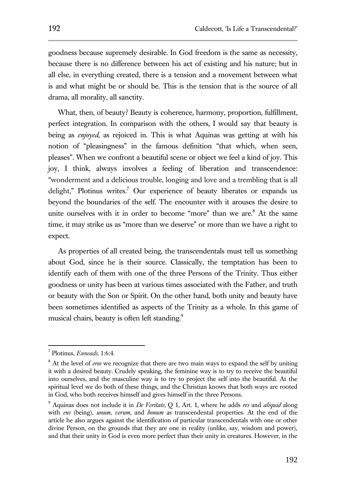goodness because supremely desirable. In God freedom is the same as necessity, because there is no difference between his act of existing and his nature; but in all else, in everything created, there is a tension and a movement between what is and what might be or should be. This is the tension that is the source of all drama, all morality, all sanctity.

What, then, of beauty? Beauty is coherence, harmony, proportion, fulfillment, perfect integration. In comparison with the others, I would say that beauty is being as *enjoyed*, as rejoiced in. This is what Aquinas was getting at with his notion of "pleasingness" in the famous definition "that which, when seen, pleases". When we confront a beautiful scene or object we feel a kind of joy. This joy, I think, always involves a feeling of liberation and transcendence: "wonderment and a delicious trouble, longing and love and a trembling that is all delight," Plotinus writes.<sup>7</sup> Our experience of beauty liberates or expands us beyond the boundaries of the self. The encounter with it arouses the desire to unite ourselves with it in order to become "more" than we are.<sup>8</sup> At the same time, it may strike us as "more than we deserve" or more than we have a right to expect.

As properties of all created being, the transcendentals must tell us something about God, since he is their source. Classically, the temptation has been to identify each of them with one of the three Persons of the Trinity. Thus either goodness or unity has been at various times associated with the Father, and truth or beauty with the Son or Spirit. On the other hand, both unity and beauty have been sometimes identified as aspects of the Trinity as a whole. In this game of musical chairs, beauty is often left standing.<sup>9</sup>

<sup>7</sup> Plotinus, *Enneads*, 1:6:4.

<sup>8</sup> At the level of *eros* we recognize that there are two main ways to expand the self by uniting it with a desired beauty. Crudely speaking, the feminine way is to try to receive the beautiful into ourselves, and the masculine way is to try to project the self into the beautiful. At the spiritual level we do both of these things, and the Christian knows that both ways are rooted in God, who both receives himself and gives himself in the three Persons.

<sup>9</sup> Aquinas does not include it in *De Veritate*, Q 1, Art. 1, where he adds *res* and *aliquid* along with *ens* (being), *unum*, *verum*, and *bonum* as transcendental properties. At the end of the article he also argues against the identification of particular transcendentals with one or other divine Person, on the grounds that they are one in reality (unlike, say, wisdom and power), and that their unity in God is even more perfect than their unity in creatures. However, in the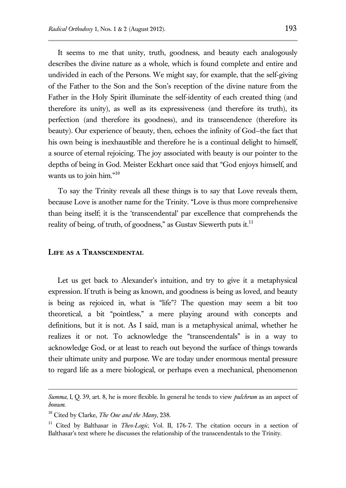It seems to me that unity, truth, goodness, and beauty each analogously describes the divine nature as a whole, which is found complete and entire and undivided in each of the Persons. We might say, for example, that the self-giving of the Father to the Son and the Son's reception of the divine nature from the Father in the Holy Spirit illuminate the self-identity of each created thing (and therefore its unity), as well as its expressiveness (and therefore its truth), its perfection (and therefore its goodness), and its transcendence (therefore its beauty). Our experience of beauty, then, echoes the infinity of God—the fact that his own being is inexhaustible and therefore he is a continual delight to himself, a source of eternal rejoicing. The joy associated with beauty is our pointer to the depths of being in God. Meister Eckhart once said that "God enjoys himself, and wants us to join him." $10$ 

To say the Trinity reveals all these things is to say that Love reveals them, because Love is another name for the Trinity. "Love is thus more comprehensive than being itself; it is the 'transcendental' par excellence that comprehends the reality of being, of truth, of goodness," as Gustav Siewerth puts it.<sup>11</sup>

## **Life as a Transcendental**

Let us get back to Alexander's intuition, and try to give it a metaphysical expression. If truth is being as known, and goodness is being as loved, and beauty is being as rejoiced in, what is "life"? The question may seem a bit too theoretical, a bit "pointless," a mere playing around with concepts and definitions, but it is not. As I said, man is a metaphysical animal, whether he realizes it or not. To acknowledge the "transcendentals" is in a way to acknowledge God, or at least to reach out beyond the surface of things towards their ultimate unity and purpose. We are today under enormous mental pressure to regard life as a mere biological, or perhaps even a mechanical, phenomenon

*Summa*, I, Q. 39, art. 8, he is more flexible. In general he tends to view *pulchrum* as an aspect of *bonum*.

<sup>10</sup> Cited by Clarke, *The One and the Many*, 238.

<sup>&</sup>lt;sup>11</sup> Cited by Balthasar in *Theo-Logic*, Vol. II, 176-7. The citation occurs in a section of Balthasar's text where he discusses the relationship of the transcendentals to the Trinity.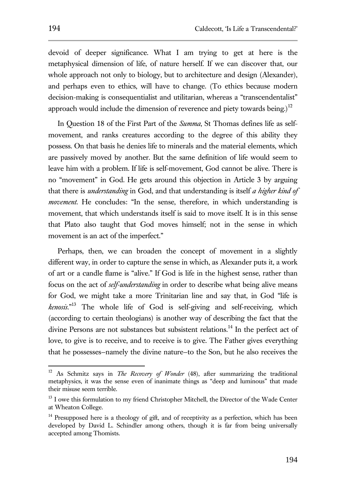$\overline{a}$ 

devoid of deeper significance. What I am trying to get at here is the metaphysical dimension of life, of nature herself. If we can discover that, our whole approach not only to biology, but to architecture and design (Alexander), and perhaps even to ethics, will have to change. (To ethics because modern decision-making is consequentialist and utilitarian, whereas a "transcendentalist" approach would include the dimension of reverence and piety towards being.)<sup>12</sup>

In Question 18 of the First Part of the *Summa*, St Thomas defines life as selfmovement, and ranks creatures according to the degree of this ability they possess. On that basis he denies life to minerals and the material elements, which are passively moved by another. But the same definition of life would seem to leave him with a problem. If life is self-movement, God cannot be alive. There is no "movement" in God. He gets around this objection in Article 3 by arguing that there is *understanding* in God, and that understanding is itself *a higher kind of movement*. He concludes: "In the sense, therefore, in which understanding is movement, that which understands itself is said to move itself. It is in this sense that Plato also taught that God moves himself; not in the sense in which movement is an act of the imperfect."

Perhaps, then, we can broaden the concept of movement in a slightly different way, in order to capture the sense in which, as Alexander puts it, a work of art or a candle flame is "alive." If God is life in the highest sense, rather than focus on the act of *self-understanding* in order to describe what being alive means for God, we might take a more Trinitarian line and say that, in God "life is *kenosis.*" <sup>13</sup> The whole life of God is self-giving and self-receiving, which (according to certain theologians) is another way of describing the fact that the divine Persons are not substances but subsistent relations.<sup>14</sup> In the perfect act of love, to give is to receive, and to receive is to give. The Father gives everything that he possesses—namely the divine nature—to the Son, but he also receives the

<sup>12</sup> As Schmitz says in *The Recovery of Wonder* (48), after summarizing the traditional metaphysics, it was the sense even of inanimate things as "deep and luminous" that made their misuse seem terrible.

<sup>&</sup>lt;sup>13</sup> I owe this formulation to my friend Christopher Mitchell, the Director of the Wade Center at Wheaton College.

 $14$  Presupposed here is a theology of gift, and of receptivity as a perfection, which has been developed by David L. Schindler among others, though it is far from being universally accepted among Thomists.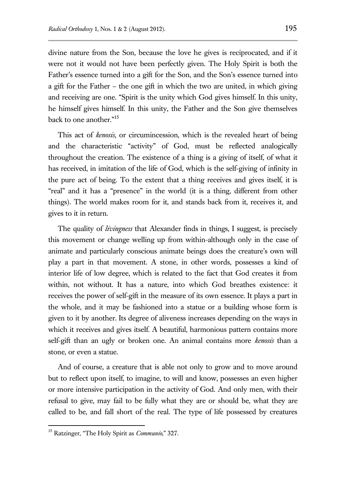divine nature from the Son, because the love he gives is reciprocated, and if it were not it would not have been perfectly given. The Holy Spirit is both the Father's essence turned into a gift for the Son, and the Son's essence turned into a gift for the Father – the one gift in which the two are united, in which giving and receiving are one. "Spirit is the unity which God gives himself. In this unity, he himself gives himself. In this unity, the Father and the Son give themselves back to one another."<sup>15</sup>

This act of *kenosis*, or circumincession, which is the revealed heart of being and the characteristic "activity" of God, must be reflected analogically throughout the creation. The existence of a thing is a giving of itself, of what it has received, in imitation of the life of God, which is the self-giving of infinity in the pure act of being. To the extent that a thing receives and gives itself, it is "real" and it has a "presence" in the world (it is a thing, different from other things). The world makes room for it, and stands back from it, receives it, and gives to it in return.

The quality of *livingness* that Alexander finds in things, I suggest, is precisely this movement or change welling up from within-although only in the case of animate and particularly conscious animate beings does the creature's own will play a part in that movement. A stone, in other words, possesses a kind of interior life of low degree, which is related to the fact that God creates it from within, not without. It has a nature, into which God breathes existence: it receives the power of self-gift in the measure of its own essence. It plays a part in the whole, and it may be fashioned into a statue or a building whose form is given to it by another. Its degree of aliveness increases depending on the ways in which it receives and gives itself. A beautiful, harmonious pattern contains more self-gift than an ugly or broken one. An animal contains more *kenosis* than a stone, or even a statue.

And of course, a creature that is able not only to grow and to move around but to reflect upon itself, to imagine, to will and know, possesses an even higher or more intensive participation in the activity of God. And only men, with their refusal to give, may fail to be fully what they are or should be, what they are called to be, and fall short of the real. The type of life possessed by creatures

<sup>15</sup> Ratzinger, "The Holy Spirit as *Communio,*" 327.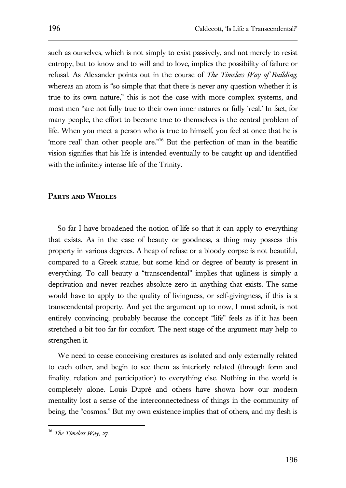such as ourselves, which is not simply to exist passively, and not merely to resist entropy, but to know and to will and to love, implies the possibility of failure or refusal. As Alexander points out in the course of *The Timeless Way of Building*, whereas an atom is "so simple that that there is never any question whether it is true to its own nature," this is not the case with more complex systems, and most men "are not fully true to their own inner natures or fully 'real.' In fact, for many people, the effort to become true to themselves is the central problem of life. When you meet a person who is true to himself, you feel at once that he is 'more real' than other people are."<sup>16</sup> But the perfection of man in the beatific vision signifies that his life is intended eventually to be caught up and identified with the infinitely intense life of the Trinity.

#### **Parts and Wholes**

So far I have broadened the notion of life so that it can apply to everything that exists. As in the case of beauty or goodness, a thing may possess this property in various degrees. A heap of refuse or a bloody corpse is not beautiful, compared to a Greek statue, but some kind or degree of beauty is present in everything. To call beauty a "transcendental" implies that ugliness is simply a deprivation and never reaches absolute zero in anything that exists. The same would have to apply to the quality of livingness, or self-givingness, if this is a transcendental property. And yet the argument up to now, I must admit, is not entirely convincing, probably because the concept "life" feels as if it has been stretched a bit too far for comfort. The next stage of the argument may help to strengthen it.

We need to cease conceiving creatures as isolated and only externally related to each other, and begin to see them as interiorly related (through form and finality, relation and participation) to everything else. Nothing in the world is completely alone. Louis Dupré and others have shown how our modern mentality lost a sense of the interconnectedness of things in the community of being, the "cosmos." But my own existence implies that of others, and my flesh is

<sup>16</sup> *The Timeless Way, 27.*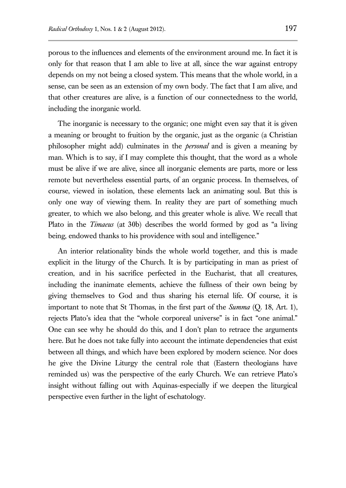porous to the influences and elements of the environment around me. In fact it is only for that reason that I am able to live at all, since the war against entropy depends on my not being a closed system. This means that the whole world, in a sense, can be seen as an extension of my own body. The fact that I am alive, and that other creatures are alive, is a function of our connectedness to the world, including the inorganic world.

The inorganic is necessary to the organic; one might even say that it is given a meaning or brought to fruition by the organic, just as the organic (a Christian philosopher might add) culminates in the *personal* and is given a meaning by man. Which is to say, if I may complete this thought, that the word as a whole must be alive if we are alive, since all inorganic elements are parts, more or less remote but nevertheless essential parts, of an organic process. In themselves, of course, viewed in isolation, these elements lack an animating soul. But this is only one way of viewing them. In reality they are part of something much greater, to which we also belong, and this greater whole is alive. We recall that Plato in the *Timaeus* (at 30b) describes the world formed by god as "a living being, endowed thanks to his providence with soul and intelligence."

An interior relationality binds the whole world together, and this is made explicit in the liturgy of the Church. It is by participating in man as priest of creation, and in his sacrifice perfected in the Eucharist, that all creatures, including the inanimate elements, achieve the fullness of their own being by giving themselves to God and thus sharing his eternal life. Of course, it is important to note that St Thomas, in the first part of the *Summa* (Q. 18, Art. 1), rejects Plato's idea that the "whole corporeal universe" is in fact "one animal." One can see why he should do this, and I don't plan to retrace the arguments here. But he does not take fully into account the intimate dependencies that exist between all things, and which have been explored by modern science. Nor does he give the Divine Liturgy the central role that (Eastern theologians have reminded us) was the perspective of the early Church. We can retrieve Plato's insight without falling out with Aquinas-especially if we deepen the liturgical perspective even further in the light of eschatology.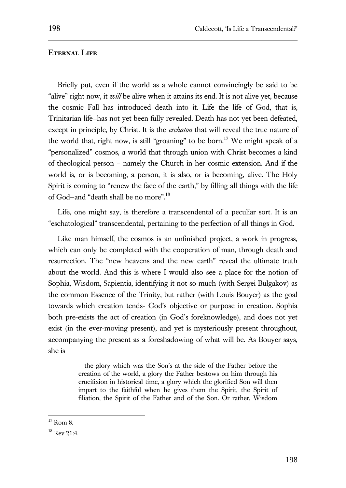### **Eternal Life**

Briefly put, even if the world as a whole cannot convincingly be said to be "alive" right now, it *will* be alive when it attains its end. It is not alive yet, because the cosmic Fall has introduced death into it. Life—the life of God, that is, Trinitarian life—has not yet been fully revealed. Death has not yet been defeated, except in principle, by Christ. It is the *eschaton* that will reveal the true nature of the world that, right now, is still "groaning" to be born.<sup>17</sup> We might speak of a "personalized" cosmos, a world that through union with Christ becomes a kind of theological person – namely the Church in her cosmic extension. And if the world is, or is becoming, a person, it is also, or is becoming, alive. The Holy Spirit is coming to "renew the face of the earth," by filling all things with the life of God—and "death shall be no more".<sup>18</sup>

Life, one might say, is therefore a transcendental of a peculiar sort. It is an "eschatological" transcendental, pertaining to the perfection of all things in God.

Like man himself, the cosmos is an unfinished project, a work in progress, which can only be completed with the cooperation of man, through death and resurrection. The "new heavens and the new earth" reveal the ultimate truth about the world. And this is where I would also see a place for the notion of Sophia, Wisdom, Sapientia, identifying it not so much (with Sergei Bulgakov) as the common Essence of the Trinity, but rather (with Louis Bouyer) as the goal towards which creation tends- God's objective or purpose in creation. Sophia both pre-exists the act of creation (in God's foreknowledge), and does not yet exist (in the ever-moving present), and yet is mysteriously present throughout, accompanying the present as a foreshadowing of what will be. As Bouyer says, she is

> the glory which was the Son's at the side of the Father before the creation of the world, a glory the Father bestows on him through his crucifixion in historical time, a glory which the glorified Son will then impart to the faithful when he gives them the Spirit, the Spirit of filiation, the Spirit of the Father and of the Son. Or rather, Wisdom

 $17$  Rom 8.

 $18$  Rev 21:4.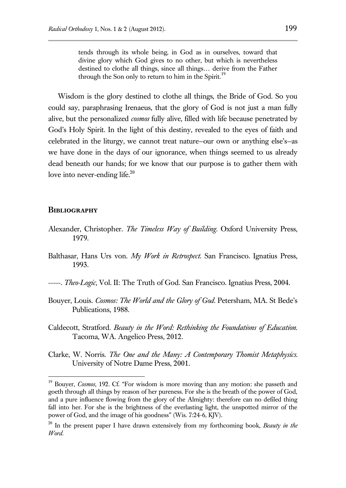tends through its whole being, in God as in ourselves, toward that divine glory which God gives to no other, but which is nevertheless destined to clothe all things, since all things… derive from the Father through the Son only to return to him in the Spirit.<sup>19</sup>

Wisdom is the glory destined to clothe all things, the Bride of God. So you could say, paraphrasing Irenaeus, that the glory of God is not just a man fully alive, but the personalized *cosmos* fully alive, filled with life because penetrated by God's Holy Spirit. In the light of this destiny, revealed to the eyes of faith and celebrated in the liturgy, we cannot treat nature—our own or anything else's—as we have done in the days of our ignorance, when things seemed to us already dead beneath our hands; for we know that our purpose is to gather them with love into never-ending life. $^{20}$ 

#### **Bibliography**

- Alexander, Christopher. *The Timeless Way of Building.* Oxford University Press, 1979.
- Balthasar, Hans Urs von. *My Work in Retrospect.* San Francisco. Ignatius Press, 1993.
- -----. *Theo-Logic*, Vol. II: The Truth of God. San Francisco. Ignatius Press, 2004.
- Bouyer, Louis. *Cosmos: The World and the Glory of God*. Petersham, MA. St Bede's Publications, 1988.
- Caldecott, Stratford. *Beauty in the Word: Rethinking the Foundations of Education.*  Tacoma, WA. Angelico Press, 2012.
- Clarke, W. Norris. *The One and the Many: A Contemporary Thomist Metaphysics.*  University of Notre Dame Press, 2001.

<sup>&</sup>lt;sup>19</sup> Bouyer, *Cosmos*, 192. Cf. "For wisdom is more moving than any motion: she passeth and goeth through all things by reason of her pureness. For she is the breath of the power of God, and a pure influence flowing from the glory of the Almighty: therefore can no defiled thing fall into her. For she is the brightness of the everlasting light, the unspotted mirror of the power of God, and the image of his goodness" (Wis. 7:24-6, KJV).

<sup>20</sup> In the present paper I have drawn extensively from my forthcoming book, *Beauty in the Word*.